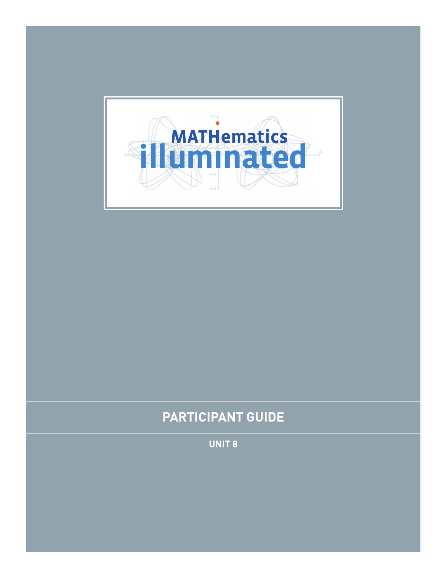

# **PARTICIPANT Guide**

**Unit 8**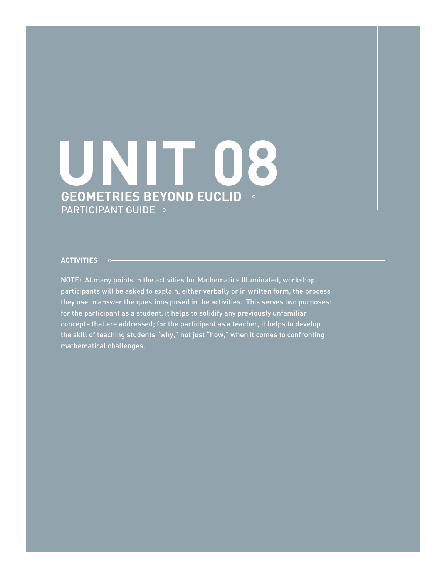# **Geometries Beyond Euclid** PARTICIPANT GUIDE  $\sim$ **UNIT 08**

#### **ACTIVITIES**

NOTE: At many points in the activities for Mathematics Illuminated, workshop participants will be asked to explain, either verbally or in written form, the process they use to answer the questions posed in the activities. This serves two purposes: for the participant as a student, it helps to solidify any previously unfamiliar concepts that are addressed; for the participant as a teacher, it helps to develop the skill of teaching students "why," not just "how," when it comes to confronting mathematical challenges.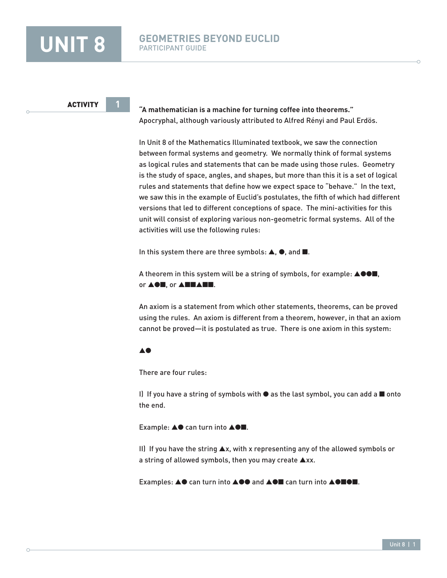**"A mathematician is a machine for turning coffee into theorems."** Apocryphal, although variously attributed to Alfred Rényi and Paul Erdös.

In Unit 8 of the Mathematics Illuminated textbook, we saw the connection between formal systems and geometry. We normally think of formal systems as logical rules and statements that can be made using those rules. Geometry is the study of space, angles, and shapes, but more than this it is a set of logical rules and statements that define how we expect space to "behave." In the text, we saw this in the example of Euclid's postulates, the fifth of which had different versions that led to different conceptions of space. The mini-activities for this unit will consist of exploring various non-geometric formal systems. All of the activities will use the following rules:

In this system there are three symbols: ▲, ●, and ■.

A theorem in this system will be a string of symbols, for example: ▲●●■, or ▲●■, or ▲■■▲■■.

An axiom is a statement from which other statements, theorems, can be proved using the rules. An axiom is different from a theorem, however, in that an axiom cannot be proved—it is postulated as true. There is one axiom in this system:

#### ▲●

There are four rules:

I) If you have a string of symbols with ● as the last symbol, you can add a ■ onto the end.

Example: ▲● can turn into ▲●■.

II) If you have the string ▲x, with x representing any of the allowed symbols or a string of allowed symbols, then you may create ▲xx.

Examples: ▲● can turn into ▲●● and ▲●■ can turn into ▲●■●■.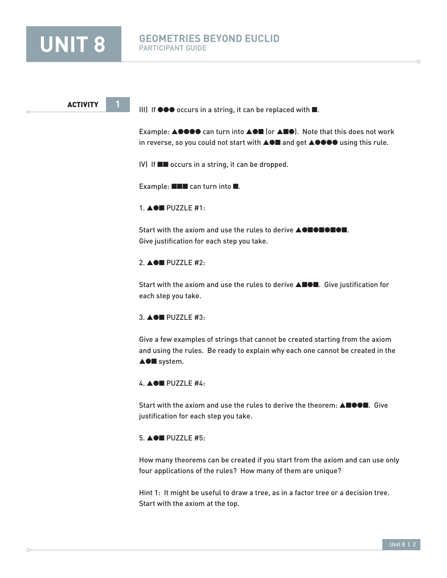

 $\bigcap$ 

#### **UNIT 8 GEOMETRIES BEYOND EUCLID** PARTICIPANT GUIDE

**ACTIVITY** 

III) If ●●● occurs in a string, it can be replaced with ■.

Example: ▲●●●● can turn into ▲●■ (or ▲■●). Note that this does not work in reverse, so you could not start with ▲●■ and get ▲●●●● using this rule.

IV) If ■■ occurs in a string, it can be dropped.

Example: ■■■ can turn into ■.

1. ▲●■ PUZZLE #1:

Start with the axiom and use the rules to derive **AOBOBOB**. Give justification for each step you take.

#### 2. ▲●■ PUZZLE #2:

Start with the axiom and use the rules to derive ▲■●■. Give justification for each step you take.

3. ▲●■ PUZZLE #3:

Give a few examples of strings that cannot be created starting from the axiom and using the rules. Be ready to explain why each one cannot be created in the ▲●■ system.

4. ▲●■ PUZZLE #4:

Start with the axiom and use the rules to derive the theorem: **A**■●●■. Give justification for each step you take.

#### 5. ▲●■ PUZZLE #5:

How many theorems can be created if you start from the axiom and can use only four applications of the rules? How many of them are unique?

Hint 1: It might be useful to draw a tree, as in a factor tree or a decision tree. Start with the axiom at the top.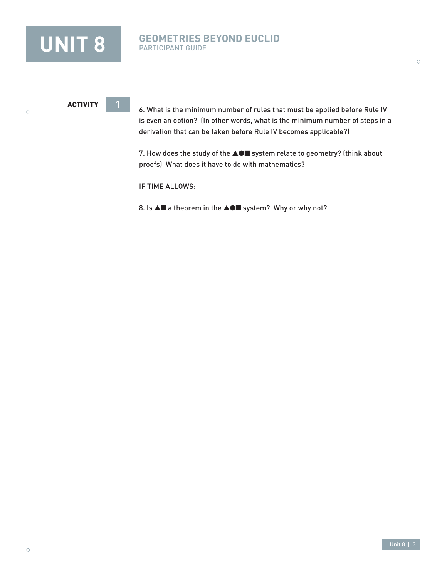

 $\bigcirc$ 

### **UNIT 8 GEOMETRIES BEYOND EUCLID** PARTICIPANT GUIDE

#### ACTIVITY **1**

6. What is the minimum number of rules that must be applied before Rule IV is even an option? (In other words, what is the minimum number of steps in a derivation that can be taken before Rule IV becomes applicable?)

7. How does the study of the ▲●■ system relate to geometry? (think about proofs) What does it have to do with mathematics?

IF TIME ALLOWS:

8. Is **A**■ a theorem in the **AO**■ system? Why or why not?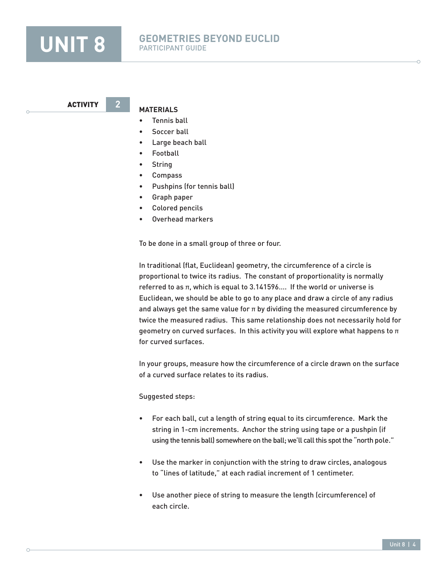

ACTIVITY **2**

#### **MATERIALS**

- Tennis ball
- Soccer ball
- Large beach ball
- Football
- String
- Compass
- Pushpins (for tennis ball)
- Graph paper
- Colored pencils
- Overhead markers

To be done in a small group of three or four.

In traditional (flat, Euclidean) geometry, the circumference of a circle is proportional to twice its radius. The constant of proportionality is normally referred to as  $π$ , which is equal to  $3.141596...$  If the world or universe is Euclidean, we should be able to go to any place and draw a circle of any radius and always get the same value for  $\pi$  by dividing the measured circumference by twice the measured radius. This same relationship does not necessarily hold for geometry on curved surfaces. In this activity you will explore what happens to  $\pi$ for curved surfaces.

In your groups, measure how the circumference of a circle drawn on the surface of a curved surface relates to its radius.

#### Suggested steps:

- For each ball, cut a length of string equal to its circumference. Mark the string in 1-cm increments. Anchor the string using tape or a pushpin (if using the tennis ball) somewhere on the ball; we'll call this spot the "north pole."
- Use the marker in conjunction with the string to draw circles, analogous to "lines of latitude," at each radial increment of 1 centimeter.
- Use another piece of string to measure the length (circumference) of each circle.

Unit 8 | 4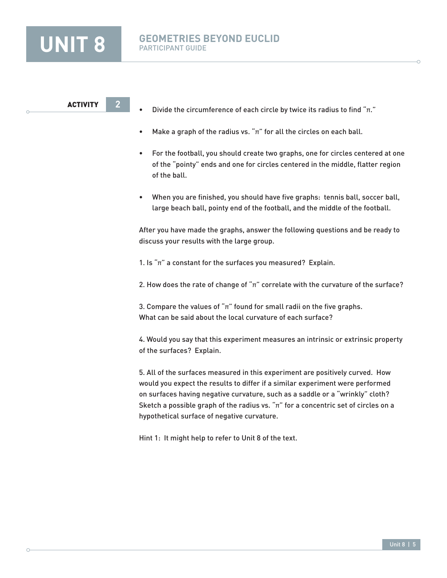

- Divide the circumference of each circle by twice its radius to find " $\pi$ ."
- Make a graph of the radius vs. " $\pi$ " for all the circles on each ball.
- For the football, you should create two graphs, one for circles centered at one of the "pointy" ends and one for circles centered in the middle, flatter region of the ball.
- When you are finished, you should have five graphs: tennis ball, soccer ball, large beach ball, pointy end of the football, and the middle of the football.

After you have made the graphs, answer the following questions and be ready to discuss your results with the large group.

1. Is " $\pi$ " a constant for the surfaces you measured? Explain.

2. How does the rate of change of " $\pi$ " correlate with the curvature of the surface?

3. Compare the values of " $\pi$ " found for small radii on the five graphs. What can be said about the local curvature of each surface?

4. Would you say that this experiment measures an intrinsic or extrinsic property of the surfaces? Explain.

5. All of the surfaces measured in this experiment are positively curved. How would you expect the results to differ if a similar experiment were performed on surfaces having negative curvature, such as a saddle or a "wrinkly" cloth? Sketch a possible graph of the radius vs. " $\pi$ " for a concentric set of circles on a hypothetical surface of negative curvature.

Hint 1: It might help to refer to Unit 8 of the text.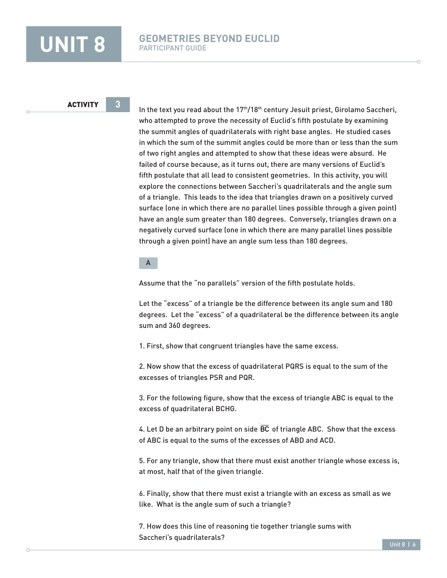In the text you read about the  $17<sup>th</sup>/18<sup>th</sup>$  century Jesuit priest, Girolamo Saccheri, who attempted to prove the necessity of Euclid's fifth postulate by examining the summit angles of quadrilaterals with right base angles. He studied cases in which the sum of the summit angles could be more than or less than the sum of two right angles and attempted to show that these ideas were absurd. He failed of course because, as it turns out, there are many versions of Euclid's fifth postulate that all lead to consistent geometries. In this activity, you will explore the connections between Saccheri's quadrilaterals and the angle sum of a triangle. This leads to the idea that triangles drawn on a positively curved surface (one in which there are no parallel lines possible through a given point) have an angle sum greater than 180 degrees. Conversely, triangles drawn on a negatively curved surface (one in which there are many parallel lines possible through a given point) have an angle sum less than 180 degrees.

#### A

Assume that the "no parallels" version of the fifth postulate holds.

Let the "excess" of a triangle be the difference between its angle sum and 180 degrees. Let the "excess" of a quadrilateral be the difference between its angle sum and 360 degrees.

1. First, show that congruent triangles have the same excess.

2. Now show that the excess of quadrilateral PQRS is equal to the sum of the excesses of triangles PSR and PQR.

3. For the following figure, show that the excess of triangle ABC is equal to the excess of quadrilateral BCHG.

4. Let D be an arbitrary point on side  $\overline{BC}$  of triangle ABC. Show that the excess of ABC is equal to the sums of the excesses of ABD and ACD.

5. For any triangle, show that there must exist another triangle whose excess is, at most, half that of the given triangle.

6. Finally, show that there must exist a triangle with an excess as small as we like. What is the angle sum of such a triangle?

7. How does this line of reasoning tie together triangle sums with Saccheri's quadrilaterals?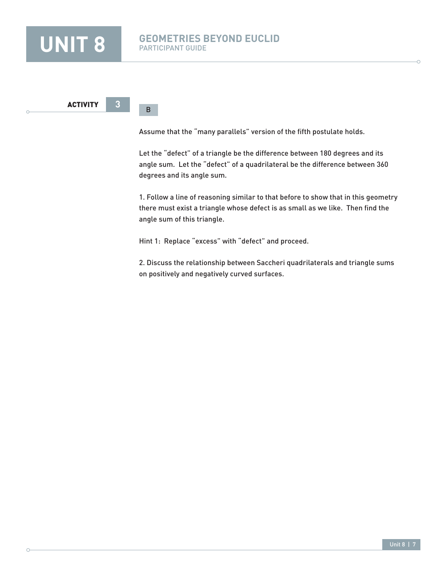$\bigcap$ 

### **UNIT 8 GEOMETRIES BEYOND EUCLID** PARTICIPANT GUIDE

**ACTIVITY** 

B

Assume that the "many parallels" version of the fifth postulate holds.

Let the "defect" of a triangle be the difference between 180 degrees and its angle sum. Let the "defect" of a quadrilateral be the difference between 360 degrees and its angle sum.

1. Follow a line of reasoning similar to that before to show that in this geometry there must exist a triangle whose defect is as small as we like. Then find the angle sum of this triangle.

Hint 1: Replace "excess" with "defect" and proceed.

2. Discuss the relationship between Saccheri quadrilaterals and triangle sums on positively and negatively curved surfaces.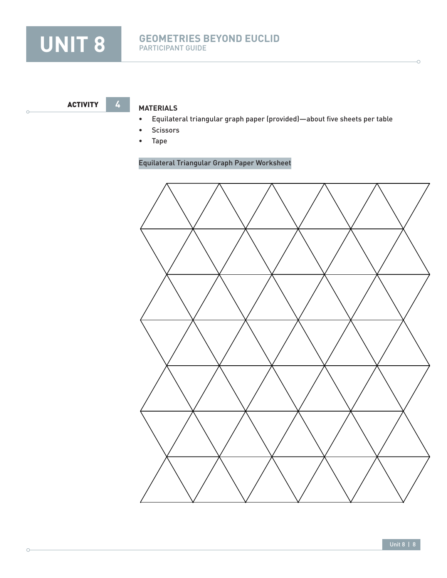

ACTIVITY **4**

 $\circ$ 

### **Materials**

- Equilateral triangular graph paper (provided)—about five sheets per table
- Scissors
- Tape

### Equilateral Triangular Graph Paper Worksheet



Ċ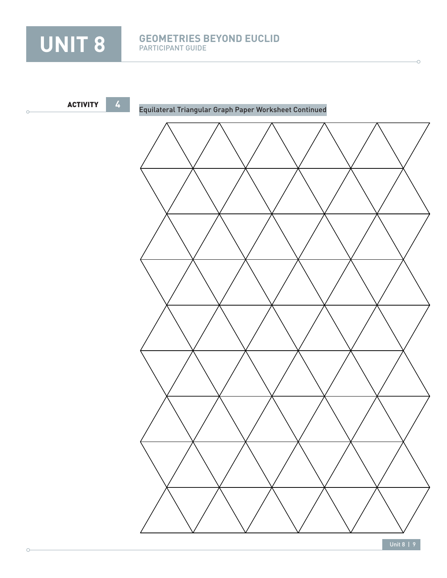

 $\circ$ 

# UNIT 8 **GEOMETRIES BEYOND EUCLID** PARTICIPANT GUIDE



Unit 8 | 9

Ċ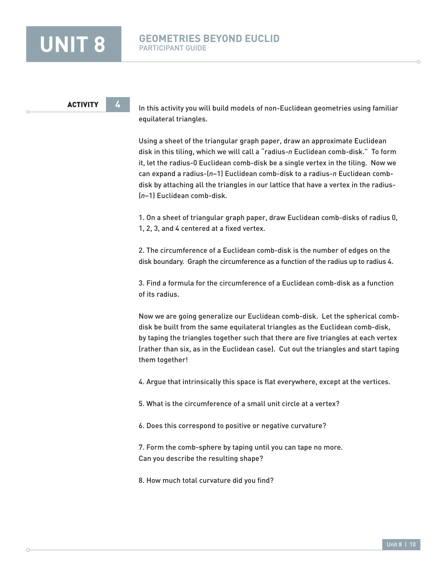#### ACTIVITY **4**

In this activity you will build models of non-Euclidean geometries using familiar equilateral triangles.

Using a sheet of the triangular graph paper, draw an approximate Euclidean disk in this tiling, which we will call a "radius-*n* Euclidean comb-disk." To form it, let the radius-0 Euclidean comb-disk be a single vertex in the tiling. Now we can expand a radius-(*n*−1) Euclidean comb-disk to a radius-*n* Euclidean combdisk by attaching all the triangles in our lattice that have a vertex in the radius- (*n*−1) Euclidean comb-disk.

1. On a sheet of triangular graph paper, draw Euclidean comb-disks of radius 0, 1, 2, 3, and 4 centered at a fixed vertex.

2. The circumference of a Euclidean comb-disk is the number of edges on the disk boundary. Graph the circumference as a function of the radius up to radius 4.

3. Find a formula for the circumference of a Euclidean comb-disk as a function of its radius.

Now we are going generalize our Euclidean comb-disk. Let the spherical combdisk be built from the same equilateral triangles as the Euclidean comb-disk, by taping the triangles together such that there are five triangles at each vertex (rather than six, as in the Euclidean case). Cut out the triangles and start taping them together!

4. Argue that intrinsically this space is flat everywhere, except at the vertices.

5. What is the circumference of a small unit circle at a vertex?

6. Does this correspond to positive or negative curvature?

7. Form the comb-sphere by taping until you can tape no more. Can you describe the resulting shape?

8. How much total curvature did you find?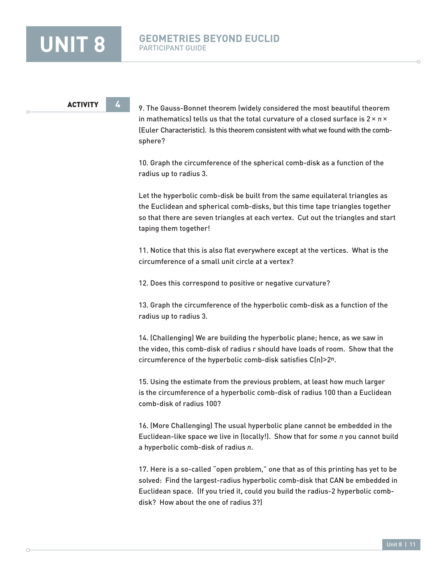9. The Gauss-Bonnet theorem (widely considered the most beautiful theorem in mathematics) tells us that the total curvature of a closed surface is  $2 \times \pi \times$ (Euler Characteristic). Is this theorem consistent with what we found with the combsphere?

10. Graph the circumference of the spherical comb-disk as a function of the radius up to radius 3.

Let the hyperbolic comb-disk be built from the same equilateral triangles as the Euclidean and spherical comb-disks, but this time tape triangles together so that there are seven triangles at each vertex. Cut out the triangles and start taping them together!

11. Notice that this is also flat everywhere except at the vertices. What is the circumference of a small unit circle at a vertex?

12. Does this correspond to positive or negative curvature?

13. Graph the circumference of the hyperbolic comb-disk as a function of the radius up to radius 3.

14. (Challenging) We are building the hyperbolic plane; hence, as we saw in the video, this comb-disk of radius r should have loads of room. Show that the circumference of the hyperbolic comb-disk satisfies C(n)>2n.

15. Using the estimate from the previous problem, at least how much larger is the circumference of a hyperbolic comb-disk of radius 100 than a Euclidean comb-disk of radius 100?

16. (More Challenging) The usual hyperbolic plane cannot be embedded in the Euclidean-like space we live in (locally!). Show that for some *n* you cannot build a hyperbolic comb-disk of radius *n*.

17. Here is a so-called "open problem," one that as of this printing has yet to be solved: Find the largest-radius hyperbolic comb-disk that CAN be embedded in Euclidean space. (If you tried it, could you build the radius-2 hyperbolic combdisk? How about the one of radius 3?)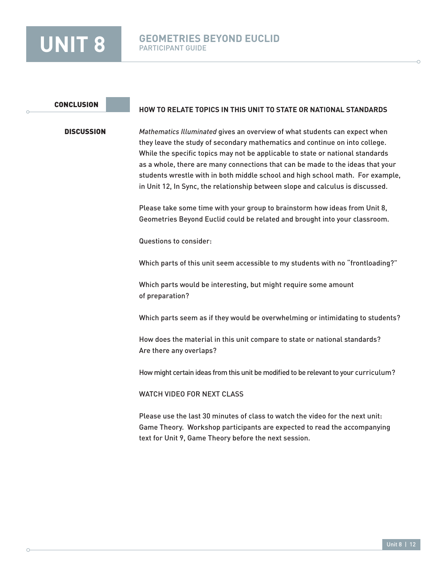#### **CONCLUSION**

#### **DISCUSSION**

*Mathematics Illuminated* gives an overview of what students can expect when they leave the study of secondary mathematics and continue on into college. While the specific topics may not be applicable to state or national standards as a whole, there are many connections that can be made to the ideas that your students wrestle with in both middle school and high school math. For example, in Unit 12, In Sync, the relationship between slope and calculus is discussed.

**HOW TO RELATE TOPICS IN THIS UNIT TO STATE OR NATIONAL STANDARDS**

Please take some time with your group to brainstorm how ideas from Unit 8, Geometries Beyond Euclid could be related and brought into your classroom.

Questions to consider:

Which parts of this unit seem accessible to my students with no "frontloading?"

Which parts would be interesting, but might require some amount of preparation?

Which parts seem as if they would be overwhelming or intimidating to students?

How does the material in this unit compare to state or national standards? Are there any overlaps?

How might certain ideas from this unit be modified to be relevant to your curriculum?

WATCH VIDEO FOR NEXT CLASS

Please use the last 30 minutes of class to watch the video for the next unit: Game Theory. Workshop participants are expected to read the accompanying text for Unit 9, Game Theory before the next session.